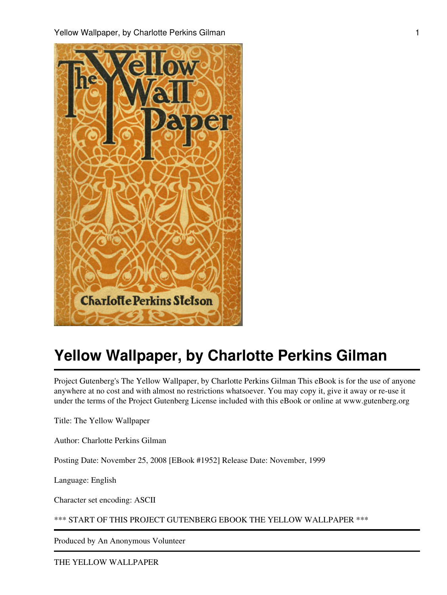

Project Gutenberg's The Yellow Wallpaper, by Charlotte Perkins Gilman This eBook is for the use of anyone anywhere at no cost and with almost no restrictions whatsoever. You may copy it, give it away or re-use it under the terms of the Project Gutenberg License included with this eBook or online at www.gutenberg.org

Title: The Yellow Wallpaper

Author: Charlotte Perkins Gilman

Posting Date: November 25, 2008 [EBook #1952] Release Date: November, 1999

Language: English

Character set encoding: ASCII

\*\*\* START OF THIS PROJECT GUTENBERG EBOOK THE YELLOW WALLPAPER \*\*\*

Produced by An Anonymous Volunteer

THE YELLOW WALLPAPER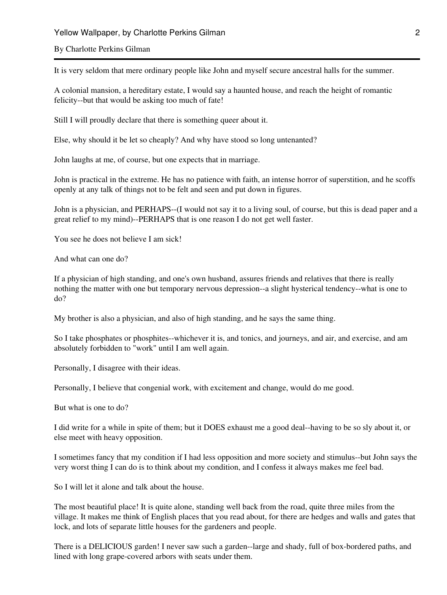## By Charlotte Perkins Gilman

It is very seldom that mere ordinary people like John and myself secure ancestral halls for the summer.

A colonial mansion, a hereditary estate, I would say a haunted house, and reach the height of romantic felicity--but that would be asking too much of fate!

Still I will proudly declare that there is something queer about it.

Else, why should it be let so cheaply? And why have stood so long untenanted?

John laughs at me, of course, but one expects that in marriage.

John is practical in the extreme. He has no patience with faith, an intense horror of superstition, and he scoffs openly at any talk of things not to be felt and seen and put down in figures.

John is a physician, and PERHAPS--(I would not say it to a living soul, of course, but this is dead paper and a great relief to my mind)--PERHAPS that is one reason I do not get well faster.

You see he does not believe I am sick!

And what can one do?

If a physician of high standing, and one's own husband, assures friends and relatives that there is really nothing the matter with one but temporary nervous depression--a slight hysterical tendency--what is one to do?

My brother is also a physician, and also of high standing, and he says the same thing.

So I take phosphates or phosphites--whichever it is, and tonics, and journeys, and air, and exercise, and am absolutely forbidden to "work" until I am well again.

Personally, I disagree with their ideas.

Personally, I believe that congenial work, with excitement and change, would do me good.

But what is one to do?

I did write for a while in spite of them; but it DOES exhaust me a good deal--having to be so sly about it, or else meet with heavy opposition.

I sometimes fancy that my condition if I had less opposition and more society and stimulus--but John says the very worst thing I can do is to think about my condition, and I confess it always makes me feel bad.

So I will let it alone and talk about the house.

The most beautiful place! It is quite alone, standing well back from the road, quite three miles from the village. It makes me think of English places that you read about, for there are hedges and walls and gates that lock, and lots of separate little houses for the gardeners and people.

There is a DELICIOUS garden! I never saw such a garden--large and shady, full of box-bordered paths, and lined with long grape-covered arbors with seats under them.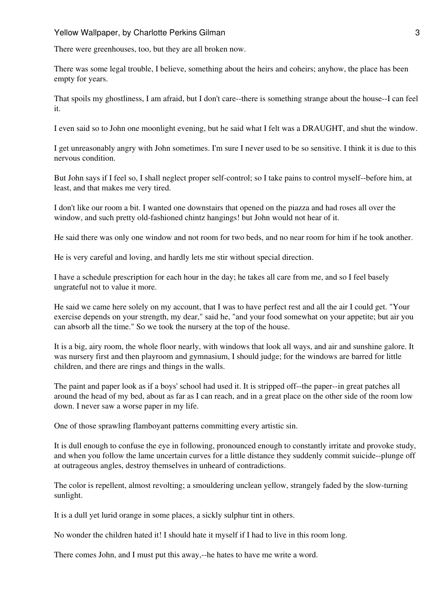There were greenhouses, too, but they are all broken now.

There was some legal trouble, I believe, something about the heirs and coheirs; anyhow, the place has been empty for years.

That spoils my ghostliness, I am afraid, but I don't care--there is something strange about the house--I can feel it.

I even said so to John one moonlight evening, but he said what I felt was a DRAUGHT, and shut the window.

I get unreasonably angry with John sometimes. I'm sure I never used to be so sensitive. I think it is due to this nervous condition.

But John says if I feel so, I shall neglect proper self-control; so I take pains to control myself--before him, at least, and that makes me very tired.

I don't like our room a bit. I wanted one downstairs that opened on the piazza and had roses all over the window, and such pretty old-fashioned chintz hangings! but John would not hear of it.

He said there was only one window and not room for two beds, and no near room for him if he took another.

He is very careful and loving, and hardly lets me stir without special direction.

I have a schedule prescription for each hour in the day; he takes all care from me, and so I feel basely ungrateful not to value it more.

He said we came here solely on my account, that I was to have perfect rest and all the air I could get. "Your exercise depends on your strength, my dear," said he, "and your food somewhat on your appetite; but air you can absorb all the time." So we took the nursery at the top of the house.

It is a big, airy room, the whole floor nearly, with windows that look all ways, and air and sunshine galore. It was nursery first and then playroom and gymnasium, I should judge; for the windows are barred for little children, and there are rings and things in the walls.

The paint and paper look as if a boys' school had used it. It is stripped off--the paper--in great patches all around the head of my bed, about as far as I can reach, and in a great place on the other side of the room low down. I never saw a worse paper in my life.

One of those sprawling flamboyant patterns committing every artistic sin.

It is dull enough to confuse the eye in following, pronounced enough to constantly irritate and provoke study, and when you follow the lame uncertain curves for a little distance they suddenly commit suicide--plunge off at outrageous angles, destroy themselves in unheard of contradictions.

The color is repellent, almost revolting; a smouldering unclean yellow, strangely faded by the slow-turning sunlight.

It is a dull yet lurid orange in some places, a sickly sulphur tint in others.

No wonder the children hated it! I should hate it myself if I had to live in this room long.

There comes John, and I must put this away,--he hates to have me write a word.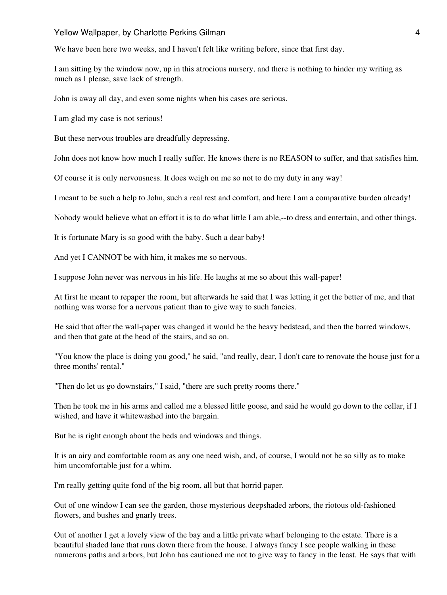We have been here two weeks, and I haven't felt like writing before, since that first day.

I am sitting by the window now, up in this atrocious nursery, and there is nothing to hinder my writing as much as I please, save lack of strength.

John is away all day, and even some nights when his cases are serious.

I am glad my case is not serious!

But these nervous troubles are dreadfully depressing.

John does not know how much I really suffer. He knows there is no REASON to suffer, and that satisfies him.

Of course it is only nervousness. It does weigh on me so not to do my duty in any way!

I meant to be such a help to John, such a real rest and comfort, and here I am a comparative burden already!

Nobody would believe what an effort it is to do what little I am able,--to dress and entertain, and other things.

It is fortunate Mary is so good with the baby. Such a dear baby!

And yet I CANNOT be with him, it makes me so nervous.

I suppose John never was nervous in his life. He laughs at me so about this wall-paper!

At first he meant to repaper the room, but afterwards he said that I was letting it get the better of me, and that nothing was worse for a nervous patient than to give way to such fancies.

He said that after the wall-paper was changed it would be the heavy bedstead, and then the barred windows, and then that gate at the head of the stairs, and so on.

"You know the place is doing you good," he said, "and really, dear, I don't care to renovate the house just for a three months' rental."

"Then do let us go downstairs," I said, "there are such pretty rooms there."

Then he took me in his arms and called me a blessed little goose, and said he would go down to the cellar, if I wished, and have it whitewashed into the bargain.

But he is right enough about the beds and windows and things.

It is an airy and comfortable room as any one need wish, and, of course, I would not be so silly as to make him uncomfortable just for a whim.

I'm really getting quite fond of the big room, all but that horrid paper.

Out of one window I can see the garden, those mysterious deepshaded arbors, the riotous old-fashioned flowers, and bushes and gnarly trees.

Out of another I get a lovely view of the bay and a little private wharf belonging to the estate. There is a beautiful shaded lane that runs down there from the house. I always fancy I see people walking in these numerous paths and arbors, but John has cautioned me not to give way to fancy in the least. He says that with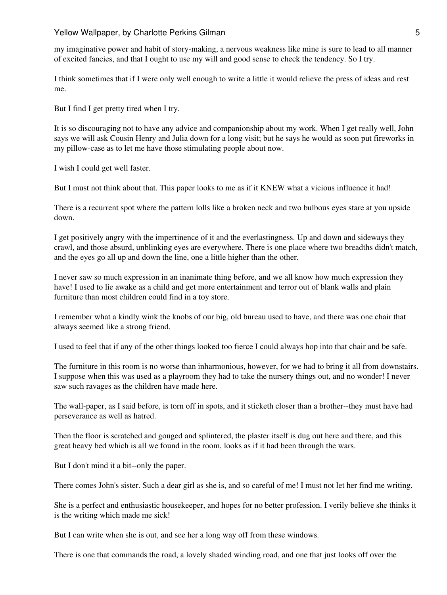my imaginative power and habit of story-making, a nervous weakness like mine is sure to lead to all manner of excited fancies, and that I ought to use my will and good sense to check the tendency. So I try.

I think sometimes that if I were only well enough to write a little it would relieve the press of ideas and rest me.

But I find I get pretty tired when I try.

It is so discouraging not to have any advice and companionship about my work. When I get really well, John says we will ask Cousin Henry and Julia down for a long visit; but he says he would as soon put fireworks in my pillow-case as to let me have those stimulating people about now.

I wish I could get well faster.

But I must not think about that. This paper looks to me as if it KNEW what a vicious influence it had!

There is a recurrent spot where the pattern lolls like a broken neck and two bulbous eyes stare at you upside down.

I get positively angry with the impertinence of it and the everlastingness. Up and down and sideways they crawl, and those absurd, unblinking eyes are everywhere. There is one place where two breadths didn't match, and the eyes go all up and down the line, one a little higher than the other.

I never saw so much expression in an inanimate thing before, and we all know how much expression they have! I used to lie awake as a child and get more entertainment and terror out of blank walls and plain furniture than most children could find in a toy store.

I remember what a kindly wink the knobs of our big, old bureau used to have, and there was one chair that always seemed like a strong friend.

I used to feel that if any of the other things looked too fierce I could always hop into that chair and be safe.

The furniture in this room is no worse than inharmonious, however, for we had to bring it all from downstairs. I suppose when this was used as a playroom they had to take the nursery things out, and no wonder! I never saw such ravages as the children have made here.

The wall-paper, as I said before, is torn off in spots, and it sticketh closer than a brother--they must have had perseverance as well as hatred.

Then the floor is scratched and gouged and splintered, the plaster itself is dug out here and there, and this great heavy bed which is all we found in the room, looks as if it had been through the wars.

But I don't mind it a bit--only the paper.

There comes John's sister. Such a dear girl as she is, and so careful of me! I must not let her find me writing.

She is a perfect and enthusiastic housekeeper, and hopes for no better profession. I verily believe she thinks it is the writing which made me sick!

But I can write when she is out, and see her a long way off from these windows.

There is one that commands the road, a lovely shaded winding road, and one that just looks off over the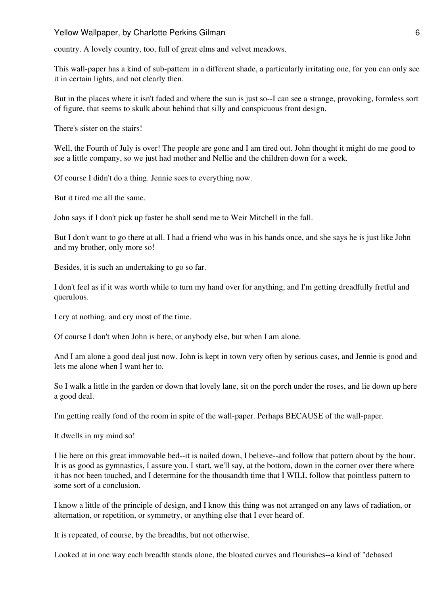#### Yellow Wallpaper, by Charlotte Perkins Gilman 6 and 6 and 6 and 6 and 6 and 6 and 6 and 6 and 6 and 6 and 6 and 6 and 6 and 6 and 6 and 6 and 6 and 6 and 6 and 6 and 6 and 6 and 6 and 6 and 6 and 6 and 6 and 6 and 6 and 6

country. A lovely country, too, full of great elms and velvet meadows.

This wall-paper has a kind of sub-pattern in a different shade, a particularly irritating one, for you can only see it in certain lights, and not clearly then.

But in the places where it isn't faded and where the sun is just so--I can see a strange, provoking, formless sort of figure, that seems to skulk about behind that silly and conspicuous front design.

There's sister on the stairs!

Well, the Fourth of July is over! The people are gone and I am tired out. John thought it might do me good to see a little company, so we just had mother and Nellie and the children down for a week.

Of course I didn't do a thing. Jennie sees to everything now.

But it tired me all the same.

John says if I don't pick up faster he shall send me to Weir Mitchell in the fall.

But I don't want to go there at all. I had a friend who was in his hands once, and she says he is just like John and my brother, only more so!

Besides, it is such an undertaking to go so far.

I don't feel as if it was worth while to turn my hand over for anything, and I'm getting dreadfully fretful and querulous.

I cry at nothing, and cry most of the time.

Of course I don't when John is here, or anybody else, but when I am alone.

And I am alone a good deal just now. John is kept in town very often by serious cases, and Jennie is good and lets me alone when I want her to.

So I walk a little in the garden or down that lovely lane, sit on the porch under the roses, and lie down up here a good deal.

I'm getting really fond of the room in spite of the wall-paper. Perhaps BECAUSE of the wall-paper.

It dwells in my mind so!

I lie here on this great immovable bed--it is nailed down, I believe--and follow that pattern about by the hour. It is as good as gymnastics, I assure you. I start, we'll say, at the bottom, down in the corner over there where it has not been touched, and I determine for the thousandth time that I WILL follow that pointless pattern to some sort of a conclusion.

I know a little of the principle of design, and I know this thing was not arranged on any laws of radiation, or alternation, or repetition, or symmetry, or anything else that I ever heard of.

It is repeated, of course, by the breadths, but not otherwise.

Looked at in one way each breadth stands alone, the bloated curves and flourishes--a kind of "debased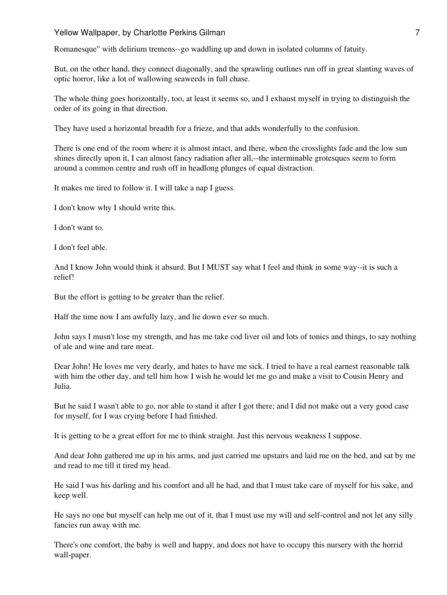## Yellow Wallpaper, by Charlotte Perkins Gilman 7 and 7 and 7 and 7 and 7 and 7 and 7 and 7 and 7 and 7 and 7 and 7 and 7 and 7 and 7 and 7 and 7 and 7 and 7 and 7 and 7 and 7 and 7 and 7 and 7 and 7 and 7 and 7 and 7 and 7

Romanesque" with delirium tremens--go waddling up and down in isolated columns of fatuity.

But, on the other hand, they connect diagonally, and the sprawling outlines run off in great slanting waves of optic horror, like a lot of wallowing seaweeds in full chase.

The whole thing goes horizontally, too, at least it seems so, and I exhaust myself in trying to distinguish the order of its going in that direction.

They have used a horizontal breadth for a frieze, and that adds wonderfully to the confusion.

There is one end of the room where it is almost intact, and there, when the crosslights fade and the low sun shines directly upon it, I can almost fancy radiation after all,--the interminable grotesques seem to form around a common centre and rush off in headlong plunges of equal distraction.

It makes me tired to follow it. I will take a nap I guess.

I don't know why I should write this.

I don't want to.

I don't feel able.

And I know John would think it absurd. But I MUST say what I feel and think in some way--it is such a relief!

But the effort is getting to be greater than the relief.

Half the time now I am awfully lazy, and lie down ever so much.

John says I musn't lose my strength, and has me take cod liver oil and lots of tonics and things, to say nothing of ale and wine and rare meat.

Dear John! He loves me very dearly, and hates to have me sick. I tried to have a real earnest reasonable talk with him the other day, and tell him how I wish he would let me go and make a visit to Cousin Henry and Julia.

But he said I wasn't able to go, nor able to stand it after I got there; and I did not make out a very good case for myself, for I was crying before I had finished.

It is getting to be a great effort for me to think straight. Just this nervous weakness I suppose.

And dear John gathered me up in his arms, and just carried me upstairs and laid me on the bed, and sat by me and read to me till it tired my head.

He said I was his darling and his comfort and all he had, and that I must take care of myself for his sake, and keep well.

He says no one but myself can help me out of it, that I must use my will and self-control and not let any silly fancies run away with me.

There's one comfort, the baby is well and happy, and does not have to occupy this nursery with the horrid wall-paper.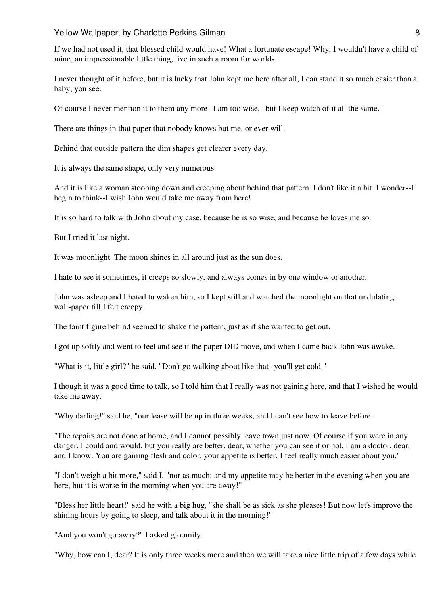#### Yellow Wallpaper, by Charlotte Perkins Gilman 8 and 8 and 8 and 8 and 8 and 8 and 8 and 8 and 8 and 8 and 8 and 8 and 8 and 8 and 8 and 8 and 8 and 8 and 8 and 8 and 8 and 8 and 8 and 8 and 8 and 8 and 8 and 8 and 8 and 8

If we had not used it, that blessed child would have! What a fortunate escape! Why, I wouldn't have a child of mine, an impressionable little thing, live in such a room for worlds.

I never thought of it before, but it is lucky that John kept me here after all, I can stand it so much easier than a baby, you see.

Of course I never mention it to them any more--I am too wise,--but I keep watch of it all the same.

There are things in that paper that nobody knows but me, or ever will.

Behind that outside pattern the dim shapes get clearer every day.

It is always the same shape, only very numerous.

And it is like a woman stooping down and creeping about behind that pattern. I don't like it a bit. I wonder--I begin to think--I wish John would take me away from here!

It is so hard to talk with John about my case, because he is so wise, and because he loves me so.

But I tried it last night.

It was moonlight. The moon shines in all around just as the sun does.

I hate to see it sometimes, it creeps so slowly, and always comes in by one window or another.

John was asleep and I hated to waken him, so I kept still and watched the moonlight on that undulating wall-paper till I felt creepy.

The faint figure behind seemed to shake the pattern, just as if she wanted to get out.

I got up softly and went to feel and see if the paper DID move, and when I came back John was awake.

"What is it, little girl?" he said. "Don't go walking about like that--you'll get cold."

I though it was a good time to talk, so I told him that I really was not gaining here, and that I wished he would take me away.

"Why darling!" said he, "our lease will be up in three weeks, and I can't see how to leave before.

"The repairs are not done at home, and I cannot possibly leave town just now. Of course if you were in any danger, I could and would, but you really are better, dear, whether you can see it or not. I am a doctor, dear, and I know. You are gaining flesh and color, your appetite is better, I feel really much easier about you."

"I don't weigh a bit more," said I, "nor as much; and my appetite may be better in the evening when you are here, but it is worse in the morning when you are away!"

"Bless her little heart!" said he with a big hug, "she shall be as sick as she pleases! But now let's improve the shining hours by going to sleep, and talk about it in the morning!"

"And you won't go away?" I asked gloomily.

"Why, how can I, dear? It is only three weeks more and then we will take a nice little trip of a few days while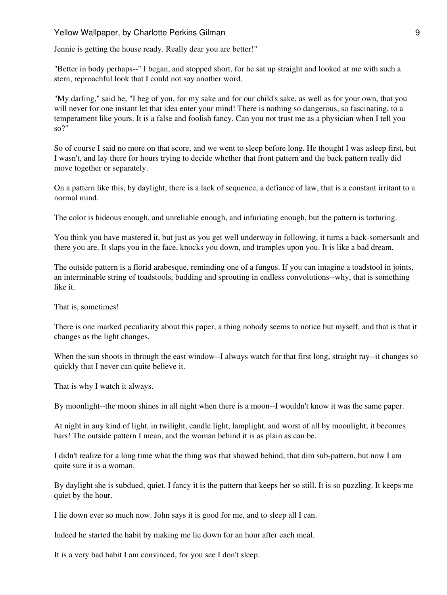Jennie is getting the house ready. Really dear you are better!"

"Better in body perhaps--" I began, and stopped short, for he sat up straight and looked at me with such a stern, reproachful look that I could not say another word.

"My darling," said he, "I beg of you, for my sake and for our child's sake, as well as for your own, that you will never for one instant let that idea enter your mind! There is nothing so dangerous, so fascinating, to a temperament like yours. It is a false and foolish fancy. Can you not trust me as a physician when I tell you so?"

So of course I said no more on that score, and we went to sleep before long. He thought I was asleep first, but I wasn't, and lay there for hours trying to decide whether that front pattern and the back pattern really did move together or separately.

On a pattern like this, by daylight, there is a lack of sequence, a defiance of law, that is a constant irritant to a normal mind.

The color is hideous enough, and unreliable enough, and infuriating enough, but the pattern is torturing.

You think you have mastered it, but just as you get well underway in following, it turns a back-somersault and there you are. It slaps you in the face, knocks you down, and tramples upon you. It is like a bad dream.

The outside pattern is a florid arabesque, reminding one of a fungus. If you can imagine a toadstool in joints, an interminable string of toadstools, budding and sprouting in endless convolutions--why, that is something like it.

That is, sometimes!

There is one marked peculiarity about this paper, a thing nobody seems to notice but myself, and that is that it changes as the light changes.

When the sun shoots in through the east window--I always watch for that first long, straight ray--it changes so quickly that I never can quite believe it.

That is why I watch it always.

By moonlight--the moon shines in all night when there is a moon--I wouldn't know it was the same paper.

At night in any kind of light, in twilight, candle light, lamplight, and worst of all by moonlight, it becomes bars! The outside pattern I mean, and the woman behind it is as plain as can be.

I didn't realize for a long time what the thing was that showed behind, that dim sub-pattern, but now I am quite sure it is a woman.

By daylight she is subdued, quiet. I fancy it is the pattern that keeps her so still. It is so puzzling. It keeps me quiet by the hour.

I lie down ever so much now. John says it is good for me, and to sleep all I can.

Indeed he started the habit by making me lie down for an hour after each meal.

It is a very bad habit I am convinced, for you see I don't sleep.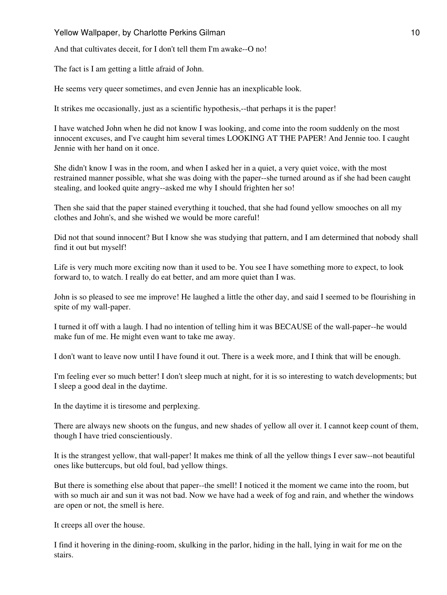Yellow Wallpaper, by Charlotte Perkins Gilman 10 and 10 and 10 and 10 and 10 and 10 and 10 and 10 and 10 and 10

And that cultivates deceit, for I don't tell them I'm awake--O no!

The fact is I am getting a little afraid of John.

He seems very queer sometimes, and even Jennie has an inexplicable look.

It strikes me occasionally, just as a scientific hypothesis,--that perhaps it is the paper!

I have watched John when he did not know I was looking, and come into the room suddenly on the most innocent excuses, and I've caught him several times LOOKING AT THE PAPER! And Jennie too. I caught Jennie with her hand on it once.

She didn't know I was in the room, and when I asked her in a quiet, a very quiet voice, with the most restrained manner possible, what she was doing with the paper--she turned around as if she had been caught stealing, and looked quite angry--asked me why I should frighten her so!

Then she said that the paper stained everything it touched, that she had found yellow smooches on all my clothes and John's, and she wished we would be more careful!

Did not that sound innocent? But I know she was studying that pattern, and I am determined that nobody shall find it out but myself!

Life is very much more exciting now than it used to be. You see I have something more to expect, to look forward to, to watch. I really do eat better, and am more quiet than I was.

John is so pleased to see me improve! He laughed a little the other day, and said I seemed to be flourishing in spite of my wall-paper.

I turned it off with a laugh. I had no intention of telling him it was BECAUSE of the wall-paper--he would make fun of me. He might even want to take me away.

I don't want to leave now until I have found it out. There is a week more, and I think that will be enough.

I'm feeling ever so much better! I don't sleep much at night, for it is so interesting to watch developments; but I sleep a good deal in the daytime.

In the daytime it is tiresome and perplexing.

There are always new shoots on the fungus, and new shades of yellow all over it. I cannot keep count of them, though I have tried conscientiously.

It is the strangest yellow, that wall-paper! It makes me think of all the yellow things I ever saw--not beautiful ones like buttercups, but old foul, bad yellow things.

But there is something else about that paper--the smell! I noticed it the moment we came into the room, but with so much air and sun it was not bad. Now we have had a week of fog and rain, and whether the windows are open or not, the smell is here.

It creeps all over the house.

I find it hovering in the dining-room, skulking in the parlor, hiding in the hall, lying in wait for me on the stairs.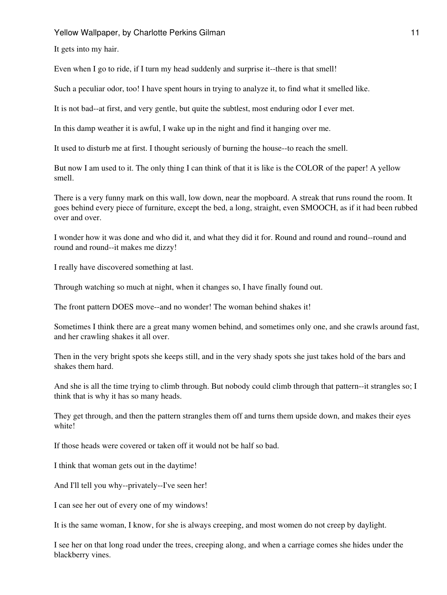Yellow Wallpaper, by Charlotte Perkins Gilman 11 and 11 and 11 and 11 and 11 and 11 and 11 and 11 and 11 and 1

It gets into my hair.

Even when I go to ride, if I turn my head suddenly and surprise it--there is that smell!

Such a peculiar odor, too! I have spent hours in trying to analyze it, to find what it smelled like.

It is not bad--at first, and very gentle, but quite the subtlest, most enduring odor I ever met.

In this damp weather it is awful, I wake up in the night and find it hanging over me.

It used to disturb me at first. I thought seriously of burning the house--to reach the smell.

But now I am used to it. The only thing I can think of that it is like is the COLOR of the paper! A yellow smell.

There is a very funny mark on this wall, low down, near the mopboard. A streak that runs round the room. It goes behind every piece of furniture, except the bed, a long, straight, even SMOOCH, as if it had been rubbed over and over.

I wonder how it was done and who did it, and what they did it for. Round and round and round--round and round and round--it makes me dizzy!

I really have discovered something at last.

Through watching so much at night, when it changes so, I have finally found out.

The front pattern DOES move--and no wonder! The woman behind shakes it!

Sometimes I think there are a great many women behind, and sometimes only one, and she crawls around fast, and her crawling shakes it all over.

Then in the very bright spots she keeps still, and in the very shady spots she just takes hold of the bars and shakes them hard.

And she is all the time trying to climb through. But nobody could climb through that pattern--it strangles so; I think that is why it has so many heads.

They get through, and then the pattern strangles them off and turns them upside down, and makes their eyes white!

If those heads were covered or taken off it would not be half so bad.

I think that woman gets out in the daytime!

And I'll tell you why--privately--I've seen her!

I can see her out of every one of my windows!

It is the same woman, I know, for she is always creeping, and most women do not creep by daylight.

I see her on that long road under the trees, creeping along, and when a carriage comes she hides under the blackberry vines.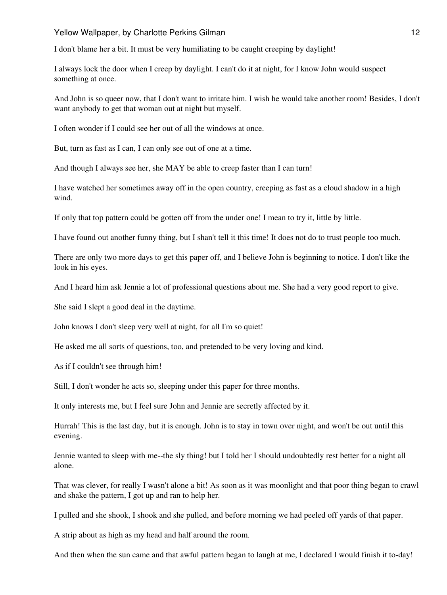I don't blame her a bit. It must be very humiliating to be caught creeping by daylight!

I always lock the door when I creep by daylight. I can't do it at night, for I know John would suspect something at once.

And John is so queer now, that I don't want to irritate him. I wish he would take another room! Besides, I don't want anybody to get that woman out at night but myself.

I often wonder if I could see her out of all the windows at once.

But, turn as fast as I can, I can only see out of one at a time.

And though I always see her, she MAY be able to creep faster than I can turn!

I have watched her sometimes away off in the open country, creeping as fast as a cloud shadow in a high wind.

If only that top pattern could be gotten off from the under one! I mean to try it, little by little.

I have found out another funny thing, but I shan't tell it this time! It does not do to trust people too much.

There are only two more days to get this paper off, and I believe John is beginning to notice. I don't like the look in his eyes.

And I heard him ask Jennie a lot of professional questions about me. She had a very good report to give.

She said I slept a good deal in the daytime.

John knows I don't sleep very well at night, for all I'm so quiet!

He asked me all sorts of questions, too, and pretended to be very loving and kind.

As if I couldn't see through him!

Still, I don't wonder he acts so, sleeping under this paper for three months.

It only interests me, but I feel sure John and Jennie are secretly affected by it.

Hurrah! This is the last day, but it is enough. John is to stay in town over night, and won't be out until this evening.

Jennie wanted to sleep with me--the sly thing! but I told her I should undoubtedly rest better for a night all alone.

That was clever, for really I wasn't alone a bit! As soon as it was moonlight and that poor thing began to crawl and shake the pattern, I got up and ran to help her.

I pulled and she shook, I shook and she pulled, and before morning we had peeled off yards of that paper.

A strip about as high as my head and half around the room.

And then when the sun came and that awful pattern began to laugh at me, I declared I would finish it to-day!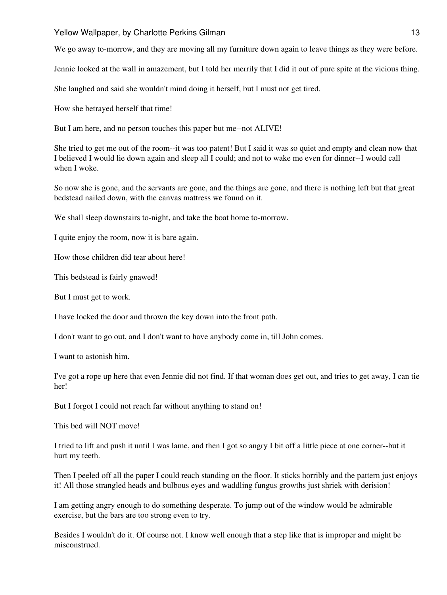We go away to-morrow, and they are moving all my furniture down again to leave things as they were before.

Jennie looked at the wall in amazement, but I told her merrily that I did it out of pure spite at the vicious thing.

She laughed and said she wouldn't mind doing it herself, but I must not get tired.

How she betrayed herself that time!

But I am here, and no person touches this paper but me--not ALIVE!

She tried to get me out of the room--it was too patent! But I said it was so quiet and empty and clean now that I believed I would lie down again and sleep all I could; and not to wake me even for dinner--I would call when I woke.

So now she is gone, and the servants are gone, and the things are gone, and there is nothing left but that great bedstead nailed down, with the canvas mattress we found on it.

We shall sleep downstairs to-night, and take the boat home to-morrow.

I quite enjoy the room, now it is bare again.

How those children did tear about here!

This bedstead is fairly gnawed!

But I must get to work.

I have locked the door and thrown the key down into the front path.

I don't want to go out, and I don't want to have anybody come in, till John comes.

I want to astonish him.

I've got a rope up here that even Jennie did not find. If that woman does get out, and tries to get away, I can tie her!

But I forgot I could not reach far without anything to stand on!

This bed will NOT move!

I tried to lift and push it until I was lame, and then I got so angry I bit off a little piece at one corner--but it hurt my teeth.

Then I peeled off all the paper I could reach standing on the floor. It sticks horribly and the pattern just enjoys it! All those strangled heads and bulbous eyes and waddling fungus growths just shriek with derision!

I am getting angry enough to do something desperate. To jump out of the window would be admirable exercise, but the bars are too strong even to try.

Besides I wouldn't do it. Of course not. I know well enough that a step like that is improper and might be misconstrued.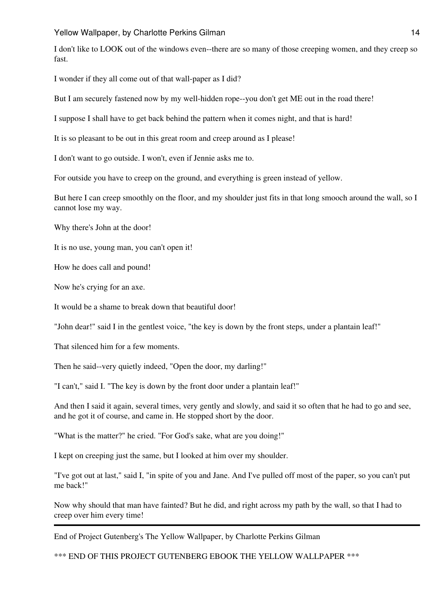I don't like to LOOK out of the windows even--there are so many of those creeping women, and they creep so fast.

I wonder if they all come out of that wall-paper as I did?

But I am securely fastened now by my well-hidden rope--you don't get ME out in the road there!

I suppose I shall have to get back behind the pattern when it comes night, and that is hard!

It is so pleasant to be out in this great room and creep around as I please!

I don't want to go outside. I won't, even if Jennie asks me to.

For outside you have to creep on the ground, and everything is green instead of yellow.

But here I can creep smoothly on the floor, and my shoulder just fits in that long smooch around the wall, so I cannot lose my way.

Why there's John at the door!

It is no use, young man, you can't open it!

How he does call and pound!

Now he's crying for an axe.

It would be a shame to break down that beautiful door!

"John dear!" said I in the gentlest voice, "the key is down by the front steps, under a plantain leaf!"

That silenced him for a few moments.

Then he said--very quietly indeed, "Open the door, my darling!"

"I can't," said I. "The key is down by the front door under a plantain leaf!"

And then I said it again, several times, very gently and slowly, and said it so often that he had to go and see, and he got it of course, and came in. He stopped short by the door.

"What is the matter?" he cried. "For God's sake, what are you doing!"

I kept on creeping just the same, but I looked at him over my shoulder.

"I've got out at last," said I, "in spite of you and Jane. And I've pulled off most of the paper, so you can't put me back!"

Now why should that man have fainted? But he did, and right across my path by the wall, so that I had to creep over him every time!

End of Project Gutenberg's The Yellow Wallpaper, by Charlotte Perkins Gilman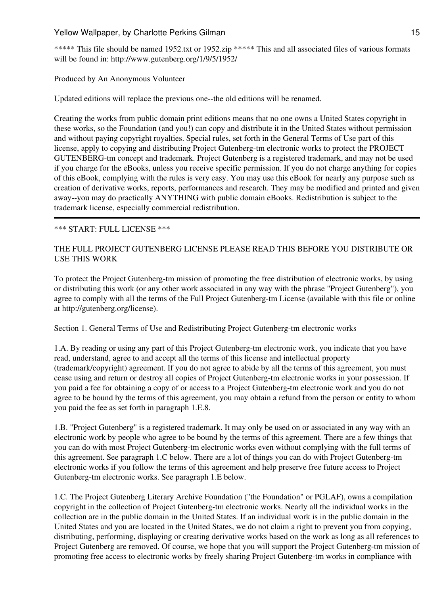\*\*\*\*\* This file should be named 1952.txt or 1952.zip \*\*\*\*\* This and all associated files of various formats will be found in: http://www.gutenberg.org/1/9/5/1952/

Produced by An Anonymous Volunteer

Updated editions will replace the previous one--the old editions will be renamed.

Creating the works from public domain print editions means that no one owns a United States copyright in these works, so the Foundation (and you!) can copy and distribute it in the United States without permission and without paying copyright royalties. Special rules, set forth in the General Terms of Use part of this license, apply to copying and distributing Project Gutenberg-tm electronic works to protect the PROJECT GUTENBERG-tm concept and trademark. Project Gutenberg is a registered trademark, and may not be used if you charge for the eBooks, unless you receive specific permission. If you do not charge anything for copies of this eBook, complying with the rules is very easy. You may use this eBook for nearly any purpose such as creation of derivative works, reports, performances and research. They may be modified and printed and given away--you may do practically ANYTHING with public domain eBooks. Redistribution is subject to the trademark license, especially commercial redistribution.

## \*\*\* START: FULL LICENSE \*\*\*

## THE FULL PROJECT GUTENBERG LICENSE PLEASE READ THIS BEFORE YOU DISTRIBUTE OR USE THIS WORK

To protect the Project Gutenberg-tm mission of promoting the free distribution of electronic works, by using or distributing this work (or any other work associated in any way with the phrase "Project Gutenberg"), you agree to comply with all the terms of the Full Project Gutenberg-tm License (available with this file or online at http://gutenberg.org/license).

Section 1. General Terms of Use and Redistributing Project Gutenberg-tm electronic works

1.A. By reading or using any part of this Project Gutenberg-tm electronic work, you indicate that you have read, understand, agree to and accept all the terms of this license and intellectual property (trademark/copyright) agreement. If you do not agree to abide by all the terms of this agreement, you must cease using and return or destroy all copies of Project Gutenberg-tm electronic works in your possession. If you paid a fee for obtaining a copy of or access to a Project Gutenberg-tm electronic work and you do not agree to be bound by the terms of this agreement, you may obtain a refund from the person or entity to whom you paid the fee as set forth in paragraph 1.E.8.

1.B. "Project Gutenberg" is a registered trademark. It may only be used on or associated in any way with an electronic work by people who agree to be bound by the terms of this agreement. There are a few things that you can do with most Project Gutenberg-tm electronic works even without complying with the full terms of this agreement. See paragraph 1.C below. There are a lot of things you can do with Project Gutenberg-tm electronic works if you follow the terms of this agreement and help preserve free future access to Project Gutenberg-tm electronic works. See paragraph 1.E below.

1.C. The Project Gutenberg Literary Archive Foundation ("the Foundation" or PGLAF), owns a compilation copyright in the collection of Project Gutenberg-tm electronic works. Nearly all the individual works in the collection are in the public domain in the United States. If an individual work is in the public domain in the United States and you are located in the United States, we do not claim a right to prevent you from copying, distributing, performing, displaying or creating derivative works based on the work as long as all references to Project Gutenberg are removed. Of course, we hope that you will support the Project Gutenberg-tm mission of promoting free access to electronic works by freely sharing Project Gutenberg-tm works in compliance with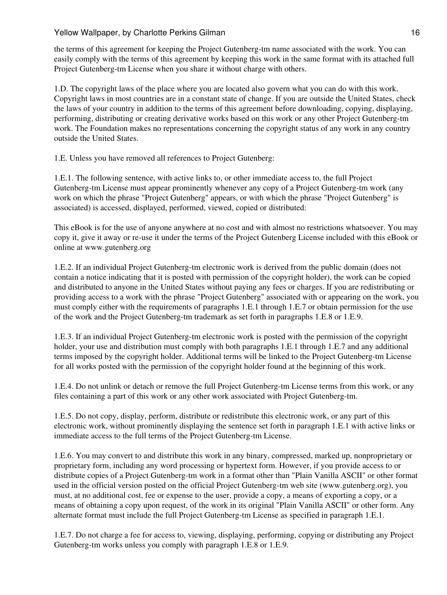the terms of this agreement for keeping the Project Gutenberg-tm name associated with the work. You can easily comply with the terms of this agreement by keeping this work in the same format with its attached full Project Gutenberg-tm License when you share it without charge with others.

1.D. The copyright laws of the place where you are located also govern what you can do with this work. Copyright laws in most countries are in a constant state of change. If you are outside the United States, check the laws of your country in addition to the terms of this agreement before downloading, copying, displaying, performing, distributing or creating derivative works based on this work or any other Project Gutenberg-tm work. The Foundation makes no representations concerning the copyright status of any work in any country outside the United States.

1.E. Unless you have removed all references to Project Gutenberg:

1.E.1. The following sentence, with active links to, or other immediate access to, the full Project Gutenberg-tm License must appear prominently whenever any copy of a Project Gutenberg-tm work (any work on which the phrase "Project Gutenberg" appears, or with which the phrase "Project Gutenberg" is associated) is accessed, displayed, performed, viewed, copied or distributed:

This eBook is for the use of anyone anywhere at no cost and with almost no restrictions whatsoever. You may copy it, give it away or re-use it under the terms of the Project Gutenberg License included with this eBook or online at www.gutenberg.org

1.E.2. If an individual Project Gutenberg-tm electronic work is derived from the public domain (does not contain a notice indicating that it is posted with permission of the copyright holder), the work can be copied and distributed to anyone in the United States without paying any fees or charges. If you are redistributing or providing access to a work with the phrase "Project Gutenberg" associated with or appearing on the work, you must comply either with the requirements of paragraphs 1.E.1 through 1.E.7 or obtain permission for the use of the work and the Project Gutenberg-tm trademark as set forth in paragraphs 1.E.8 or 1.E.9.

1.E.3. If an individual Project Gutenberg-tm electronic work is posted with the permission of the copyright holder, your use and distribution must comply with both paragraphs 1.E.1 through 1.E.7 and any additional terms imposed by the copyright holder. Additional terms will be linked to the Project Gutenberg-tm License for all works posted with the permission of the copyright holder found at the beginning of this work.

1.E.4. Do not unlink or detach or remove the full Project Gutenberg-tm License terms from this work, or any files containing a part of this work or any other work associated with Project Gutenberg-tm.

1.E.5. Do not copy, display, perform, distribute or redistribute this electronic work, or any part of this electronic work, without prominently displaying the sentence set forth in paragraph 1.E.1 with active links or immediate access to the full terms of the Project Gutenberg-tm License.

1.E.6. You may convert to and distribute this work in any binary, compressed, marked up, nonproprietary or proprietary form, including any word processing or hypertext form. However, if you provide access to or distribute copies of a Project Gutenberg-tm work in a format other than "Plain Vanilla ASCII" or other format used in the official version posted on the official Project Gutenberg-tm web site (www.gutenberg.org), you must, at no additional cost, fee or expense to the user, provide a copy, a means of exporting a copy, or a means of obtaining a copy upon request, of the work in its original "Plain Vanilla ASCII" or other form. Any alternate format must include the full Project Gutenberg-tm License as specified in paragraph 1.E.1.

1.E.7. Do not charge a fee for access to, viewing, displaying, performing, copying or distributing any Project Gutenberg-tm works unless you comply with paragraph 1.E.8 or 1.E.9.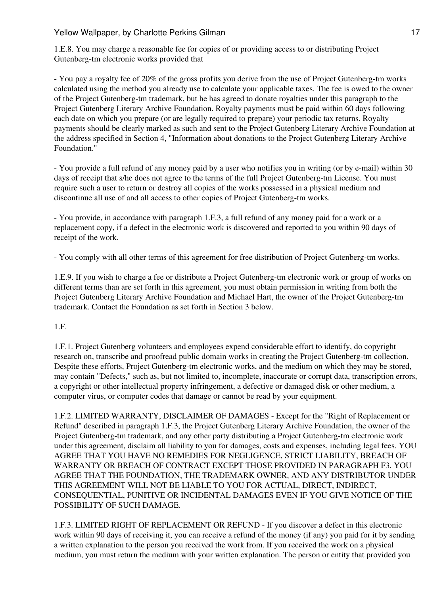1.E.8. You may charge a reasonable fee for copies of or providing access to or distributing Project Gutenberg-tm electronic works provided that

- You pay a royalty fee of 20% of the gross profits you derive from the use of Project Gutenberg-tm works calculated using the method you already use to calculate your applicable taxes. The fee is owed to the owner of the Project Gutenberg-tm trademark, but he has agreed to donate royalties under this paragraph to the Project Gutenberg Literary Archive Foundation. Royalty payments must be paid within 60 days following each date on which you prepare (or are legally required to prepare) your periodic tax returns. Royalty payments should be clearly marked as such and sent to the Project Gutenberg Literary Archive Foundation at the address specified in Section 4, "Information about donations to the Project Gutenberg Literary Archive Foundation."

- You provide a full refund of any money paid by a user who notifies you in writing (or by e-mail) within 30 days of receipt that s/he does not agree to the terms of the full Project Gutenberg-tm License. You must require such a user to return or destroy all copies of the works possessed in a physical medium and discontinue all use of and all access to other copies of Project Gutenberg-tm works.

- You provide, in accordance with paragraph 1.F.3, a full refund of any money paid for a work or a replacement copy, if a defect in the electronic work is discovered and reported to you within 90 days of receipt of the work.

- You comply with all other terms of this agreement for free distribution of Project Gutenberg-tm works.

1.E.9. If you wish to charge a fee or distribute a Project Gutenberg-tm electronic work or group of works on different terms than are set forth in this agreement, you must obtain permission in writing from both the Project Gutenberg Literary Archive Foundation and Michael Hart, the owner of the Project Gutenberg-tm trademark. Contact the Foundation as set forth in Section 3 below.

1.F.

1.F.1. Project Gutenberg volunteers and employees expend considerable effort to identify, do copyright research on, transcribe and proofread public domain works in creating the Project Gutenberg-tm collection. Despite these efforts, Project Gutenberg-tm electronic works, and the medium on which they may be stored, may contain "Defects," such as, but not limited to, incomplete, inaccurate or corrupt data, transcription errors, a copyright or other intellectual property infringement, a defective or damaged disk or other medium, a computer virus, or computer codes that damage or cannot be read by your equipment.

1.F.2. LIMITED WARRANTY, DISCLAIMER OF DAMAGES - Except for the "Right of Replacement or Refund" described in paragraph 1.F.3, the Project Gutenberg Literary Archive Foundation, the owner of the Project Gutenberg-tm trademark, and any other party distributing a Project Gutenberg-tm electronic work under this agreement, disclaim all liability to you for damages, costs and expenses, including legal fees. YOU AGREE THAT YOU HAVE NO REMEDIES FOR NEGLIGENCE, STRICT LIABILITY, BREACH OF WARRANTY OR BREACH OF CONTRACT EXCEPT THOSE PROVIDED IN PARAGRAPH F3. YOU AGREE THAT THE FOUNDATION, THE TRADEMARK OWNER, AND ANY DISTRIBUTOR UNDER THIS AGREEMENT WILL NOT BE LIABLE TO YOU FOR ACTUAL, DIRECT, INDIRECT, CONSEQUENTIAL, PUNITIVE OR INCIDENTAL DAMAGES EVEN IF YOU GIVE NOTICE OF THE POSSIBILITY OF SUCH DAMAGE.

1.F.3. LIMITED RIGHT OF REPLACEMENT OR REFUND - If you discover a defect in this electronic work within 90 days of receiving it, you can receive a refund of the money (if any) you paid for it by sending a written explanation to the person you received the work from. If you received the work on a physical medium, you must return the medium with your written explanation. The person or entity that provided you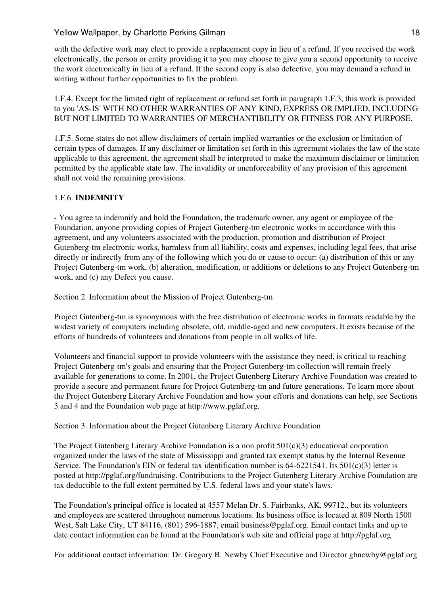with the defective work may elect to provide a replacement copy in lieu of a refund. If you received the work electronically, the person or entity providing it to you may choose to give you a second opportunity to receive the work electronically in lieu of a refund. If the second copy is also defective, you may demand a refund in writing without further opportunities to fix the problem.

1.F.4. Except for the limited right of replacement or refund set forth in paragraph 1.F.3, this work is provided to you 'AS-IS' WITH NO OTHER WARRANTIES OF ANY KIND, EXPRESS OR IMPLIED, INCLUDING BUT NOT LIMITED TO WARRANTIES OF MERCHANTIBILITY OR FITNESS FOR ANY PURPOSE.

1.F.5. Some states do not allow disclaimers of certain implied warranties or the exclusion or limitation of certain types of damages. If any disclaimer or limitation set forth in this agreement violates the law of the state applicable to this agreement, the agreement shall be interpreted to make the maximum disclaimer or limitation permitted by the applicable state law. The invalidity or unenforceability of any provision of this agreement shall not void the remaining provisions.

# 1.F.6. **INDEMNITY**

- You agree to indemnify and hold the Foundation, the trademark owner, any agent or employee of the Foundation, anyone providing copies of Project Gutenberg-tm electronic works in accordance with this agreement, and any volunteers associated with the production, promotion and distribution of Project Gutenberg-tm electronic works, harmless from all liability, costs and expenses, including legal fees, that arise directly or indirectly from any of the following which you do or cause to occur: (a) distribution of this or any Project Gutenberg-tm work, (b) alteration, modification, or additions or deletions to any Project Gutenberg-tm work, and (c) any Defect you cause.

Section 2. Information about the Mission of Project Gutenberg-tm

Project Gutenberg-tm is synonymous with the free distribution of electronic works in formats readable by the widest variety of computers including obsolete, old, middle-aged and new computers. It exists because of the efforts of hundreds of volunteers and donations from people in all walks of life.

Volunteers and financial support to provide volunteers with the assistance they need, is critical to reaching Project Gutenberg-tm's goals and ensuring that the Project Gutenberg-tm collection will remain freely available for generations to come. In 2001, the Project Gutenberg Literary Archive Foundation was created to provide a secure and permanent future for Project Gutenberg-tm and future generations. To learn more about the Project Gutenberg Literary Archive Foundation and how your efforts and donations can help, see Sections 3 and 4 and the Foundation web page at http://www.pglaf.org.

Section 3. Information about the Project Gutenberg Literary Archive Foundation

The Project Gutenberg Literary Archive Foundation is a non profit  $501(c)(3)$  educational corporation organized under the laws of the state of Mississippi and granted tax exempt status by the Internal Revenue Service. The Foundation's EIN or federal tax identification number is  $64-6221541$ . Its  $501(c)(3)$  letter is posted at http://pglaf.org/fundraising. Contributions to the Project Gutenberg Literary Archive Foundation are tax deductible to the full extent permitted by U.S. federal laws and your state's laws.

The Foundation's principal office is located at 4557 Melan Dr. S. Fairbanks, AK, 99712., but its volunteers and employees are scattered throughout numerous locations. Its business office is located at 809 North 1500 West, Salt Lake City, UT 84116, (801) 596-1887, email business@pglaf.org. Email contact links and up to date contact information can be found at the Foundation's web site and official page at http://pglaf.org

For additional contact information: Dr. Gregory B. Newby Chief Executive and Director gbnewby@pglaf.org